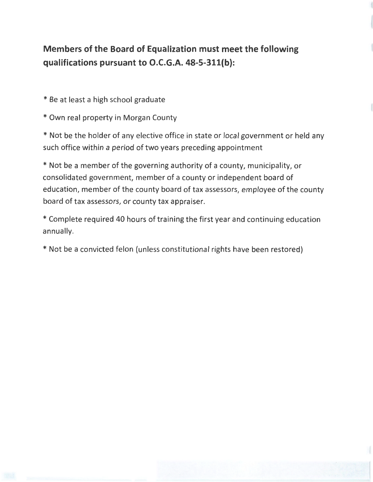## **Members of the Board of Equalization must meet the following qualifications pursuant to O.C.G.A. 48-5-311(b):**

\* Be at least a high school graduate

\* Own real property in Morgan County

\* Not be the holder of any elective office in state or local government or held any such office within a period of two years preceding appointment

\* Not be a member of the governing authority of a county, municipality, or consolidated government, member of a county or independent board of education, member of the county board of tax assessors, employee of the county board of tax assessors, or county tax appraiser.

\*Complete required 40 hours of training the first year and continuing education annually.

\* Not be a convicted felon (unless constitutional rights have been restored)